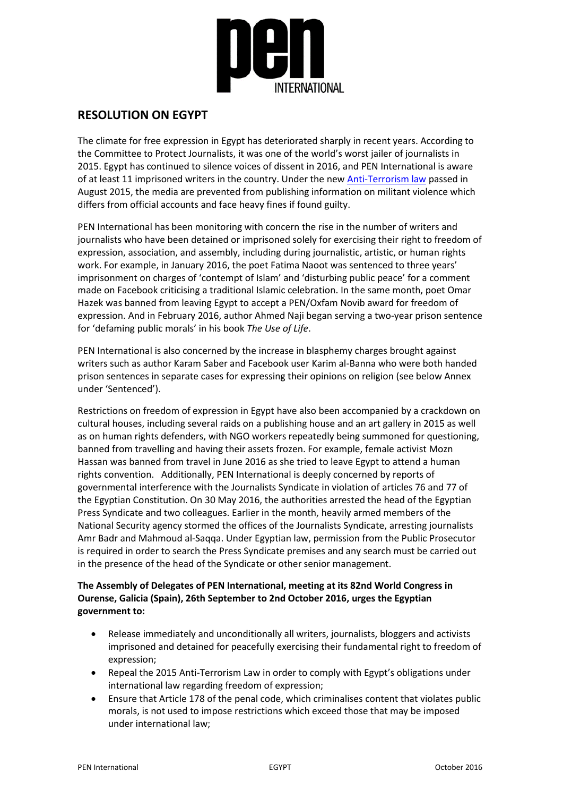

## **RESOLUTION ON EGYPT**

The climate for free expression in Egypt has deteriorated sharply in recent years. According to the Committee to Protect Journalists, it was one of the world's worst jailer of journalists in 2015. Egypt has continued to silence voices of dissent in 2016, and PEN International is aware of at least 11 imprisoned writers in the country. Under the new [Anti-Terrorism law](https://pen.org/blog/egypt-draft-anti-terror-law) passed in August 2015, the media are prevented from publishing information on militant violence which differs from official accounts and face heavy fines if found guilty.

PEN International has been monitoring with concern the rise in the number of writers and journalists who have been detained or imprisoned solely for exercising their right to freedom of expression, association, and assembly, including during journalistic, artistic, or human rights work. For example, in January 2016, the poet Fatima Naoot was sentenced to three years' imprisonment on charges of 'contempt of Islam' and 'disturbing public peace' for a comment made on Facebook criticising a traditional Islamic celebration. In the same month, poet Omar Hazek was banned from leaving Egypt to accept a PEN/Oxfam Novib award for freedom of expression. And in February 2016, author Ahmed Naji began serving a two-year prison sentence for 'defaming public morals' in his book *The Use of Life*.

PEN International is also concerned by the increase in blasphemy charges brought against writers such as author Karam Saber and Facebook user Karim al-Banna who were both handed prison sentences in separate cases for expressing their opinions on religion (see below Annex under 'Sentenced').

Restrictions on freedom of expression in Egypt have also been accompanied by a crackdown on cultural houses, including several raids on a publishing house and an art gallery in 2015 as well as on human rights defenders, with NGO workers repeatedly being summoned for questioning, banned from travelling and having their assets frozen. For example, female activist Mozn Hassan was banned from travel in June 2016 as she tried to leave Egypt to attend a human rights convention. Additionally, PEN International is deeply concerned by reports of governmental interference with the Journalists Syndicate in violation of articles 76 and 77 of the Egyptian Constitution. On 30 May 2016, the authorities arrested the head of the Egyptian Press Syndicate and two colleagues. Earlier in the month, heavily armed members of the National Security agency stormed the offices of the Journalists Syndicate, arresting journalists Amr Badr and Mahmoud al-Saqqa. Under Egyptian law, permission from the Public Prosecutor is required in order to search the Press Syndicate premises and any search must be carried out in the presence of the head of the Syndicate or other senior management.

## **The Assembly of Delegates of PEN International, meeting at its 82nd World Congress in Ourense, Galicia (Spain), 26th September to 2nd October 2016, urges the Egyptian government to:**

- Release immediately and unconditionally all writers, journalists, bloggers and activists imprisoned and detained for peacefully exercising their fundamental right to freedom of expression;
- Repeal the 2015 Anti-Terrorism Law in order to comply with Egypt's obligations under international law regarding freedom of expression;
- Ensure that Article 178 of the penal code, which criminalises content that violates public morals, is not used to impose restrictions which exceed those that may be imposed under international law;